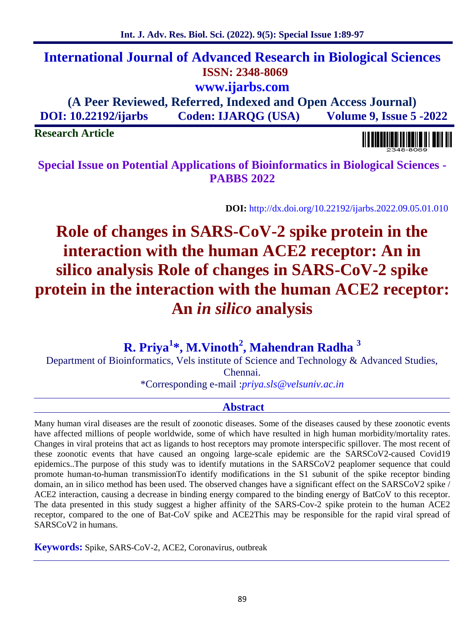# **International Journal of Advanced Research in Biological Sciences ISSN: 2348-8069 www.ijarbs.com**

**(A Peer Reviewed, Referred, Indexed and Open Access Journal) DOI: 10.22192/ijarbs Coden: IJARQG (USA) Volume 9, Issue 5 -2022**

**Research Article**

**Special Issue on Potential Applications of Bioinformatics in Biological Sciences - PABBS 2022**

**DOI:** http://dx.doi.org/10.22192/ijarbs.2022.09.05.01.010

# **Role of changes in SARS-CoV-2 spike protein in the interaction with the human ACE2 receptor: An in silico analysis Role of changes in SARS-CoV-2 spike protein in the interaction with the human ACE2 receptor: An** *in silico* **analysis**

**R. Priya<sup>1</sup>\*, M.Vinoth<sup>2</sup> , Mahendran Radha <sup>3</sup>**

Department of Bioinformatics, Vels institute of Science and Technology & Advanced Studies, Chennai.

\*Corresponding e-mail :*priya.sls@velsuniv.ac.in*

## **Abstract**

Many human viral diseases are the result of zoonotic diseases. Some of the diseases caused by these zoonotic events have affected millions of people worldwide, some of which have resulted in high human morbidity/mortality rates. Changes in viral proteins that act as ligands to host receptors may promote interspecific spillover. The most recent of these zoonotic events that have caused an ongoing large-scale epidemic are the SARSCoV2-caused Covid19 epidemics..The purpose of this study was to identify mutations in the SARSCoV2 peaplomer sequence that could promote human-to-human transmissionTo identify modifications in the S1 subunit of the spike receptor binding domain, an in silico method has been used. The observed changes have a significant effect on the SARSCoV2 spike / ACE2 interaction, causing a decrease in binding energy compared to the binding energy of BatCoV to this receptor. The data presented in this study suggest a higher affinity of the SARS-Cov-2 spike protein to the human ACE2 receptor, compared to the one of Bat-CoV spike and ACE2This may be responsible for the rapid viral spread of SARSCoV2 in humans.

**Keywords:** Spike, SARS-CoV-2, ACE2, Coronavirus, outbreak

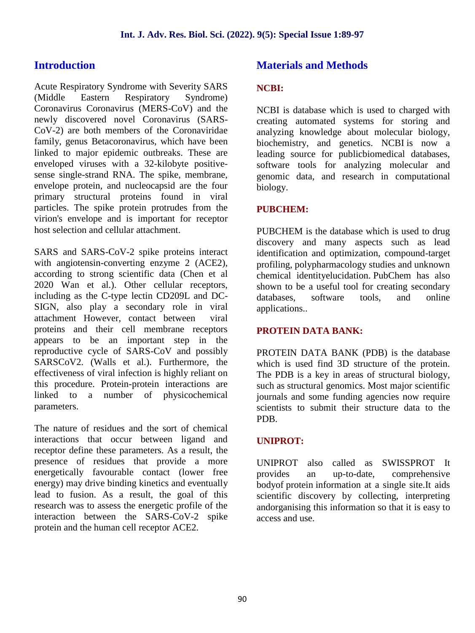## **Introduction**

Acute Respiratory Syndrome with Severity SARS (Middle Eastern Respiratory Syndrome) Coronavirus Coronavirus (MERS-CoV) and the newly discovered novel Coronavirus (SARS- CoV-2) are both members of the Coronaviridae family, genus Betacoronavirus, which have been linked to major epidemic outbreaks. These are enveloped viruses with a 32-kilobyte positive sense single-strand RNA. The spike, membrane, envelope protein, and nucleocapsid are the four primary structural proteins found in viral particles. The spike protein protrudes from the virion's envelope and is important for receptor host selection and cellular attachment.

SARS and SARS-CoV-2 spike proteins interact with angiotensin-converting enzyme 2 (ACE2), according to strong scientific data (Chen et al 2020 Wan et al.). Other cellular receptors, including as the C-type lectin CD209L and DC- SIGN, also play a secondary role in viral attachment However, contact between viral proteins and their cell membrane receptors appears to be an important step in the reproductive cycle of SARS-CoV and possibly SARSCoV2. (Walls et al.). Furthermore, the effectiveness of viral infection is highly reliant on this procedure. Protein-protein interactions are linked to a number of physicochemical parameters.

The nature of residues and the sort of chemical interactions that occur between ligand and receptor define these parameters. As a result, the presence of residues that provide a more energetically favourable contact (lower free energy) may drive binding kinetics and eventually lead to fusion. As a result, the goal of this research was to assess the energetic profile of the interaction between the SARS-CoV-2 spike protein and the human cell receptor ACE2.

## **Materials and Methods**

#### **NCBI:**

NCBI is database which is used to charged with creating automated systems for storing and analyzing knowledge about molecular biology, biochemistry, and genetics. NCBI is now a leading source for publicbiomedical databases, software tools for analyzing molecular and genomic data, and research in computational biology.

#### **PUBCHEM:**

PUBCHEM is the database which is used to drug discovery and many aspects such as lead identification and optimization, compound-target profiling, polypharmacology studies and unknown chemical identityelucidation. PubChem has also shown to be a useful tool for creating secondary databases, software tools, and online applications..

#### **PROTEIN DATA BANK:**

PROTEIN DATA BANK (PDB) is the database which is used find 3D structure of the protein. The PDB is a key in areas of structural biology, such as structural genomics. Most major scientific journals and some funding agencies now require scientists to submit their structure data to the PDB.

#### **UNIPROT:**

UNIPROT also called as SWISSPROT It an up-to-date, comprehensive bodyof protein information at a single site.It aids scientific discovery by collecting, interpreting andorganising this information so that it is easy to access and use.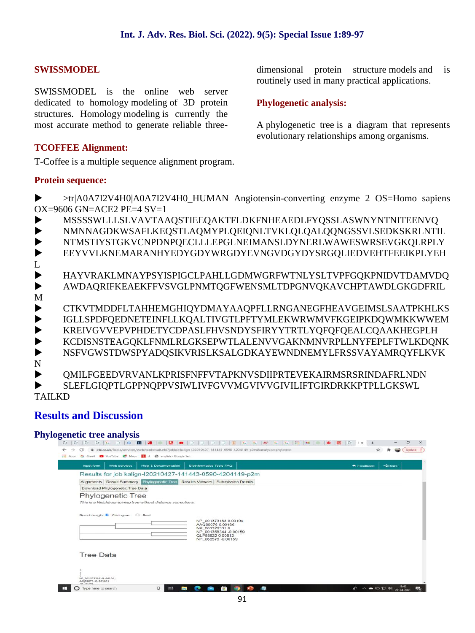#### **SWISSMODEL**

SWISSMODEL is the online web server dedicated to homology modeling of 3D protein structures. Homology modeling is currently the most accurate method to generate reliable three-

#### **TCOFFEE Alignment:**

T-Coffee is a multiple sequence alignment program.

#### **Protein sequence:**

 >tr|A0A7I2V4H0|A0A7I2V4H0\_HUMAN Angiotensin-converting enzyme 2 OS=Homo sapiens OX=9606 GN=ACE2 PE=4 SV=1

- MSSSSWLLLSLVAVTAAQSTIEEQAKTFLDKFNHEAEDLFYQSSLASWNYNTNITEENVQ
- NMNNAGDKWSAFLKEQSTLAQMYPLQEIQNLTVKLQLQALQQNGSSVLSEDKSKRLNTIL
- NTMSTIYSTGKVCNPDNPQECLLLEPGLNEIMANSLDYNERLWAWESWRSEVGKQLRPLY
- EEYVVLKNEMARANHYEDYGDYWRGDYEVNGVDGYDYSRGQLIEDVEHTFEEIKPLYEH L
- HAYVRAKLMNAYPSYISPIGCLPAHLLGDMWGRFWTNLYSLTVPFGQKPNIDVTDAMVDQ
- AWDAQRIFKEAEKFFVSVGLPNMTQGFWENSMLTDPGNVQKAVCHPTAWDLGKGDFRIL
- M
- CTKVTMDDFLTAHHEMGHIQYDMAYAAQPFLLRNGANEGFHEAVGEIMSLSAATPKHLKS
- IGLLSPDFQEDNETEINFLLKQALTIVGTLPFTYMLEKWRWMVFKGEIPKDQWMKKWWEM
- KREIVGVVEPVPHDETYCDPASLFHVSNDYSFIRYYTRTLYQFQFQEALCQAAKHEGPLH
- KCDISNSTEAGQKLFNMLRLGKSEPWTLALENVVGAKNMNVRPLLNYFEPLFTWLKDQNK
- NSFVGWSTDWSPYADQSIKVRISLKSALGDKAYEWNDNEMYLFRSSVAYAMRQYFLKVK
- N

QMILFGEEDVRVANLKPRISFNFFVTAPKNVSDIIPRTEVEKAIRMSRSRINDAFRLNDN

SLEFLGIQPTLGPPNQPPVSIWLIVFGVVMGVIVVGIVILIFTGIRDRKKPTPLLGKSWL

TAILKD

## **Results and Discussion**

#### **Phylogenetic tree analysis**

| <b>Help &amp; Documentation</b><br><b>Bioinformatics Tools FAQ</b><br>Input form<br>Web services    | <b>R</b> Feedback | <share< th=""></share<> |
|-----------------------------------------------------------------------------------------------------|-------------------|-------------------------|
| Results for job kalign-I20210427-141443-0590-4204149-p2m                                            |                   |                         |
| Alignments Result Summary Phytogenetic Tree<br>Results Viewers Submission Details                   |                   |                         |
| Download Phylogenetic Tree Data                                                                     |                   |                         |
| Phylogenetic Tree                                                                                   |                   |                         |
| This is a Neighbour-joining tree without distance corrections.                                      |                   |                         |
| AAQ89076 0.00166<br>NP 0013763310<br>NP 001358344 -0.00159<br>QLP88822 0.00812<br>NP 068576-0.00159 |                   |                         |
| <b>Tree Data</b>                                                                                    |                   |                         |
|                                                                                                     |                   |                         |

dimensional protein structure models and is routinely used in many practical applications.

#### **Phylogenetic analysis:**

A phylogenetic tree is a diagram that represents evolutionary relationships among organisms.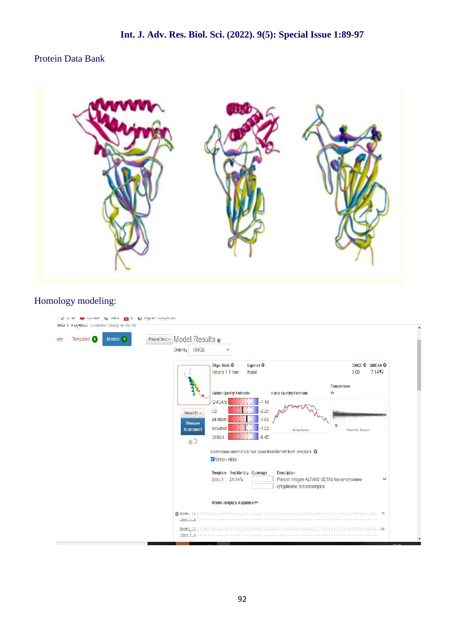## Protein Data Bank



## Homology modeling:

| Templates 6<br>Models 1 | Project Data ~ Model Results @                    |                                                                                      |                                                     |
|-------------------------|---------------------------------------------------|--------------------------------------------------------------------------------------|-----------------------------------------------------|
|                         | Order by: GMQE                                    | $\checkmark$                                                                         |                                                     |
|                         |                                                   | Oligo-State @<br>Ligands <sup>®</sup><br>Hetero 1 1 mer<br>None                      | CMQE O QMEAN O<br>7.14%<br>0.00                     |
|                         |                                                   | <b>Global Quality Estimate</b><br>Local Quality Estimate                             | Comparison<br>٨                                     |
|                         | Model 01 -                                        | QMEAN<br>$-7.14$<br>CB<br>$-2.23$<br>All Atom<br>$-1.08$                             |                                                     |
|                         | <b>Structure</b><br>Assessment<br>$\equiv$ $\Box$ | solvation<br>$-1.52$<br>Residue Number<br>$-6.45$<br>torsion                         | Protein Size Residues!                              |
|                         |                                                   | Membrane annotation has been transferred from template. O                            |                                                     |
|                         |                                                   | Show / Hide                                                                          |                                                     |
|                         |                                                   | Template Seq Identity Coverage<br>Description                                        |                                                     |
|                         |                                                   | 2knc.1 21.54%<br>cytoplasmic heterocomplex                                           | Platelet integrin ALFAIID-BETA3 transmembrane-<br>v |
|                         |                                                   | Model-Template Alignment                                                             |                                                     |
|                         | 2kmc.1.A-                                         | ○ Model DIRSSSSMLLLSLVAVIAAQSIISLQASCIPLDHENNEARULSTQSSLASWDININISSANVQNENBAGURNS 70 |                                                     |
|                         |                                                   | Model 01 AFLKEOSTLAOMYPLOEIONLIVKLOLOOLLOOKSSSVLSEDKSKRLNTFLMTMSTIVSTGZVCNPDNPCE 440 |                                                     |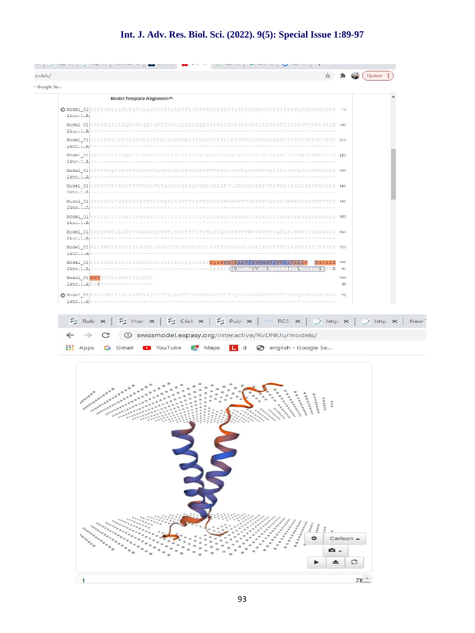#### **Int. J. Adv. Res. Biol. Sci. (2022). 9(5): Special Issue 1:89-97**

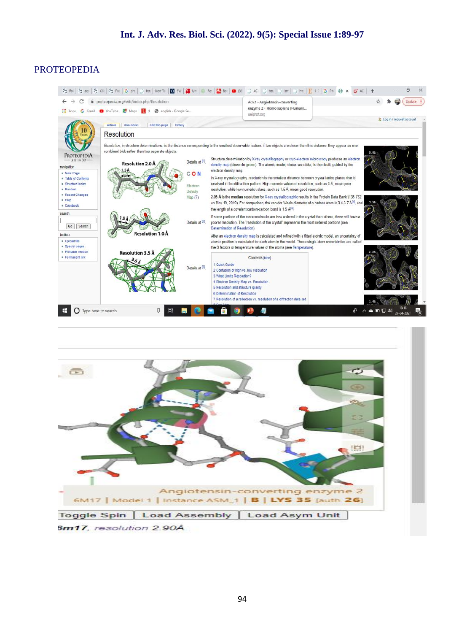## **Int. J. Adv. Res. Biol. Sci. (2022). 9(5): Special Issue 1:89-97**

#### PROTEOPEDIA

|                                                                                                                                                                                                                                                                                                                                                       | 응 Rol [응 acc ] 응 Gi. [응 Pu   G prc   p) httl   New To   @ 5W   鍵 Un   © Re   M Bo   ● 03 - D AC   p httl   p httl   p httl   E 1+F   G Ph  원 x                                                                                                                                                                                                                                      |                                                                                             |                                                                                                                                                                                                                               |                                                                                                                                                                                                                                                                                                                                                                                                                                                                                                                                                                                                                                                                                                                                                                                                                                                                                                                                                                                                                                                                                                                                                                                                                                                                                                               |  |              |                            |          |  |
|-------------------------------------------------------------------------------------------------------------------------------------------------------------------------------------------------------------------------------------------------------------------------------------------------------------------------------------------------------|-------------------------------------------------------------------------------------------------------------------------------------------------------------------------------------------------------------------------------------------------------------------------------------------------------------------------------------------------------------------------------------|---------------------------------------------------------------------------------------------|-------------------------------------------------------------------------------------------------------------------------------------------------------------------------------------------------------------------------------|---------------------------------------------------------------------------------------------------------------------------------------------------------------------------------------------------------------------------------------------------------------------------------------------------------------------------------------------------------------------------------------------------------------------------------------------------------------------------------------------------------------------------------------------------------------------------------------------------------------------------------------------------------------------------------------------------------------------------------------------------------------------------------------------------------------------------------------------------------------------------------------------------------------------------------------------------------------------------------------------------------------------------------------------------------------------------------------------------------------------------------------------------------------------------------------------------------------------------------------------------------------------------------------------------------------|--|--------------|----------------------------|----------|--|
|                                                                                                                                                                                                                                                                                                                                                       | proteopedia.org/wiki/index.php/Resolution                                                                                                                                                                                                                                                                                                                                           |                                                                                             |                                                                                                                                                                                                                               | ACE2 - Angiotensin-converting                                                                                                                                                                                                                                                                                                                                                                                                                                                                                                                                                                                                                                                                                                                                                                                                                                                                                                                                                                                                                                                                                                                                                                                                                                                                                 |  |              |                            | Update : |  |
| ш<br>G<br>Apps                                                                                                                                                                                                                                                                                                                                        | Gmail C YouTube R Maps L d C english - Google Se                                                                                                                                                                                                                                                                                                                                    |                                                                                             |                                                                                                                                                                                                                               | enzyme 2 - Homo sapiens (Human)<br>uniprot.org                                                                                                                                                                                                                                                                                                                                                                                                                                                                                                                                                                                                                                                                                                                                                                                                                                                                                                                                                                                                                                                                                                                                                                                                                                                                |  |              |                            |          |  |
| PROTEOPEDIA<br>$-$ LIFE IN 3D $-$<br>navigation<br>» Main Page<br><b>B</b> Table of Contents<br><b>E</b> Structure Index<br>$R$ andom<br><b>B</b> Recent Changes<br><b>a</b> Help<br><b>B</b> Cookbook<br>search<br>Go<br>Search<br>toolbox<br><b>II</b> Upload file<br><b>B</b> Special pages<br><b>Printable version</b><br><b>B</b> Permanent link | discussion<br>edit this page<br>history<br>article<br>Resolution<br>Resolution, in structure determinations, is the distance corresponding to the smallest observable feature: if two objects are closer than this distance, they appear as one<br>combined blob rather than two separate objects.<br><b>Resolution 2.0 Å</b><br><b>Resolution 1.0 Å</b><br><b>Resolution 3.5 Å</b> | Details at [1]<br>CON<br>Flectron<br>Density<br>Map (?)<br>Details at [2]<br>Details at [3] | electron density map.<br>Determination of Resolution).<br>1 Quick Guide<br>2 Confusion of high vs. low resolution<br>3 What Limits Resolution?<br>4 Electron Density Map vs. Resolution<br>5 Resolution and structure quality | Structure determination by X-ray crystallography or cryo-electron microscopy produces an electron<br>density map (shown in green). The atomic model, shown as sticks, is then built, quided by the<br>In X-ray crystallography, resolution is the smallest distance between crystal lattice planes that is<br>resolved in the diffraction pattern. High numeric values of resolution, such as 4 Å, mean poor<br>resolution, while low numeric values, such as 1.5 Å, mean good resolution.<br>2.05 Å is the median resolution for X-ray crystallographic results in the Protein Data Bank (135,762<br>on May 19, 2019). For comparison, the van der Waals diameter of a carbon atom is 3.4-3.7 A[4], and<br>the length of a covalent carbon-carbon bond is $1.5 \, \text{Al}^{4}$ .<br>If some portions of the macromolecule are less ordered in the crystal than others, these will have a<br>poorer resolution. The "resolution of the crystal" represents the most ordered portions (see<br>After an electron density map is calculated and refined with a fitted atomic model, an uncertainty of<br>atomic position is calculated for each atom in the model. These single-atom uncertainties are called<br>the B factors or temperature values of the atoms (see Temperature).<br><b>Contents</b> [hide] |  | 5.0A<br>3.5A | 2 Log in / request account |          |  |
| Type here to search                                                                                                                                                                                                                                                                                                                                   |                                                                                                                                                                                                                                                                                                                                                                                     |                                                                                             | 6 Determination of Resolution                                                                                                                                                                                                 | 7 Resolution of a reflection vs. resolution of a diffraction data set                                                                                                                                                                                                                                                                                                                                                                                                                                                                                                                                                                                                                                                                                                                                                                                                                                                                                                                                                                                                                                                                                                                                                                                                                                         |  | △●■型40       |                            |          |  |

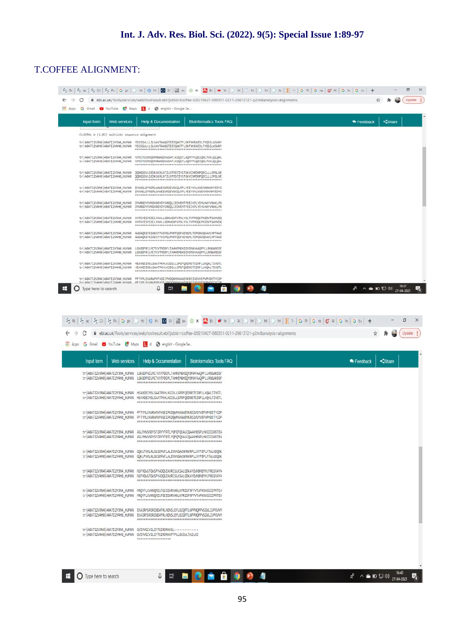#### T.COFFEE ALIGNMENT:

|                                                                          | 응 Rc │응 ac │응 ci │응 Pc │⊝ pc │ ⊙ hc │⊙ Di Sv │앓 sv │ o  x │ Ѿ Bc │ ● Yc │ े Ac │ े Ac │ े Ac │ े Ac │ े Di │ } M │ ├ Ac │ ○ N │ E 1- │ G Pt │ G n │ O Ac │ G tc │ 十                                                                                                                                                                                                                                                                        | σ<br>×                                 |
|--------------------------------------------------------------------------|--------------------------------------------------------------------------------------------------------------------------------------------------------------------------------------------------------------------------------------------------------------------------------------------------------------------------------------------------------------------------------------------------------------------------------------------|----------------------------------------|
| C                                                                        | ebi.ac.uk/Tools/services/web/toolresult.ebi?jobld=tcoffee-I20210427-080351-0211-26613721-p2m&analysis=alignments                                                                                                                                                                                                                                                                                                                           | Update<br>÷                            |
| Apps G Gmail C YouTube E Maps L d @ english - Google Se                  |                                                                                                                                                                                                                                                                                                                                                                                                                                            |                                        |
| Input form<br>Web services                                               | <b>Help &amp; Documentation</b><br><b>Bioinformatics Tools FAQ</b>                                                                                                                                                                                                                                                                                                                                                                         | <share<br>Feedback</share<br>          |
| CLUSTAL W (1.83) multiple sequence alignment                             |                                                                                                                                                                                                                                                                                                                                                                                                                                            |                                        |
| tr ABA7I2V4H9 ABA7I2V4H9_HUMAN                                           | MSSSSHLLLSLVAVTAAQSTIEEQAKTFLDKFNHEAEDLFYQSSLASHNY                                                                                                                                                                                                                                                                                                                                                                                         |                                        |
|                                                                          | tr ABA7I2V3N4 ABA7I2V3N4_HUMAN NTNITEENVQNNNNAGDKWSAFLKEQSTLAQMYPLQEIQNLTVKLQLQAL<br>tr   ABA7I2V4H9   ABA7I2V4H9_HUMAN NTNITEENVQMMMAGDKWSAFLKEQSTLAQMYPLQEIQNLTVKLQLQAL                                                                                                                                                                                                                                                                  |                                        |
| tr   ABA7I2V4H0   ABA7I2V4H8_HUMAN                                       | tr   ABA7I2V3N4   ABA7I2V3N4_HUWAN QQNGSSVLSEDKSKRLNTILNTMSTIYSTGKVCNPDNPQECLLLEPGLNE<br>QQNGSSVLSEDKSKRLNTILNTMSTIYSTGKVCNPDNPQECLLLEPGLNE                                                                                                                                                                                                                                                                                                |                                        |
| tr   ABA7I2V4H9   ABA7I2V4H8_HUMAN                                       | tr   ABA7I 2V3N4   ABA7I 2V3N4 HUMAN IMANSLOYNERLWANESHRSEVGKOLRPLYEEYVVLKNEMARANHYEDYG<br>IMANSLOYNERLWANESHRSEVGKQLRPLYEEYVVLKNEMARANHYEDYG                                                                                                                                                                                                                                                                                              |                                        |
| tr ABA7I2V3N4 ABA7I2V3N4_HUMAN<br>tr   ABA7I2V4HB   ABA7I2V4HB_HUMAN     | DYMRGDYEVNGVDGYDYSRGQLIEDVEHTFEEIKPLYEHLHAYVRAKLMN<br>DYMRGDYEVNOVDGYDYSRGQLIEDVEHTFEEIKPLYEHLHAYVRAKLMN                                                                                                                                                                                                                                                                                                                                   |                                        |
| tr   ABA7I2V3N4   ABA7I2V3N4_HUMAN<br>tr   ABA7I2V4H9   ABA7I2V4H8_HUMAN | AYPSYISPIGCLPAHLLGDMWGRFWTNLYSLTVPFGQKPNIDVTDAMVDQ<br>AYPSYISPIGCLPAHLLGDMWGRFWTNLYSLTVPFGQKPNIDVTDAMVDQ                                                                                                                                                                                                                                                                                                                                   |                                        |
|                                                                          | tr   ABA7I2V3N4   ABA7I2V3N4_HUMAN AkDAQRIFKEAEKFFV5VGLPN/ITQGFMENSMLTDPGNVQKAVCHPTAHD<br>tr   ABA7I2V4H9   ABA7I2V4H9_HUMAN AuDAQRIFKEAEKFFVSVGLPIWITQGFWENSMLTDPGWQKAVCHPTAHD                                                                                                                                                                                                                                                            |                                        |
|                                                                          | tr   ABA7I2V3N4   ABA7I2V3N4_HUMAN LGKGDFRILMCTKVTMDDFLTAHHEMGHIQVDMAYAAQPFLLRNGANEGF<br>tr   ABA7I 2V4H9   ABA7I 2V4H8 HUMAN LGKGDFRILMCTKVTMDDFLTAHHEMGHIQYDMAYAAQPFLLRNGANEGF                                                                                                                                                                                                                                                           |                                        |
|                                                                          | tr   ABA7I2V3N4   ABA7I2V3N4 HUMAN HEAVGEIMSLSAATPKHLKSIGLLSPDFOEDNETEINFLLKOALTIVGTL<br>tr   ABA7I2V4H9   ABA7I2V4H9_HUMAN HEAVGEIMSLSAATPKHLKSIGLLSPDFQEDNETEINFLLKQALTIVGTL                                                                                                                                                                                                                                                             |                                        |
| FELARATENANGIARATENANG NEMAN PETYNESYARKANGKE<br>O Type here to search   | tr ABA712V3N4 ABA712V3N4_HUMAN PFTYMLEKWRWWFKGEIPKDQWMKWMWEMKREIVGVVEPVPHDETYCDP<br>Ei                                                                                                                                                                                                                                                                                                                                                     |                                        |
| $\approx$ 80                                                             | $\texttt{S} \texttt{a} \mid \texttt{S} \texttt{w} \mid \texttt{S} \texttt{w} \mid \texttt{S} \texttt{w} \mid \texttt{S} \texttt{w} \mid \texttt{S} \texttt{w} \mid \texttt{S} \texttt{w} \mid \texttt{S} \texttt{w} \mid \texttt{S} \texttt{w} \mid \texttt{S} \texttt{w} \mid \texttt{S} \texttt{w} \mid \texttt{S} \texttt{w} \mid \texttt{S} \texttt{w} \mid \texttt{S} \texttt{w} \mid \texttt{S} \texttt{w} \mid \texttt{S} \texttt{$ | α<br>х                                 |
| С                                                                        | ebi.ac.uk/Tools/services/web/toolresult.ebi?jobId=tcoffee-I20210427-080351-0211-26613721-p2m&analysis=alignments                                                                                                                                                                                                                                                                                                                           | Update                                 |
|                                                                          | Apps G Gmail C YouTube K Maps L d C english - Google Se                                                                                                                                                                                                                                                                                                                                                                                    |                                        |
| Input form<br>Web services                                               | <b>Help &amp; Documentation</b><br><b>Bioinformatics Tools FAQ</b>                                                                                                                                                                                                                                                                                                                                                                         | <share<br><b>R</b> Feedback</share<br> |
|                                                                          | tr ABA7I2V3N4 ABA7I2V3N4_HUMAN LGKGDFRILMCTKVTMDDFLTAHHEMGHIQYDMAYAAQPFLLRNGANEGF<br>tr   ABA7I2V4H8   ABA7I2V4H8_HUMAN LGKGDFRILMCTKVTMDDFLTAHHEMGHIQYDMAYAAQPFLLRNGANEGF                                                                                                                                                                                                                                                                 |                                        |
|                                                                          | tr   A0A7I2V3N4   A0A7I2V3N4_HUNAN HEAVGEIMSLSAATPKHLKSIGLLSPDFQEDNETEINFLLKQALTIVGTL<br>tr ABA7I2V4H0 ABA7I2V4H0 HUNAN HEAVGEIMSLSAATPKHLKSIGLLSPDFQEDNETEINFLLKQALTIVGTL                                                                                                                                                                                                                                                                 |                                        |
|                                                                          | tr A0A7I2V3N4 A0A7I2V3N4_HUNAN PFTYMLEKWRWNVFKGEIPKDQWNKKWWEMKREIVGVVEPVPHDETYCDP<br>tr   ABATI2V4H9   ABATI2V4H9_HUNAN PFTYMLEKWRWN/FKGEIPKDQWNKKWLEMKREIVG/VEPVPHDETYCDP                                                                                                                                                                                                                                                                 |                                        |
|                                                                          | tr   ABA7I2V3N4   ABA7I2V3N4_HUMAN ASLFHVSNDYSFIRYYTRTLYQFQFQEALCQAAKHEGPLHKCDISNSTEA<br>tr ABA7I2V4H0 ABA7I2V4H0_HUMAN ASLFHVSNDYSFIRYYTRTLYQFQFQEALCQAAKHEGPLHKCDISNSTEA                                                                                                                                                                                                                                                                 |                                        |
|                                                                          | tr ABA7I2V3N4 ABA7I2V3N4_HUNAN GQKLFNMLRLGKSEPVITLALENVVGAKNINNRPLLNVFEPLFTVLKDQNK<br>tr ABA7I2V4H8 ABA7I2V4H8_HUMAN GQKLFMMLRLGKSEPWTLALEMVVGAKNMMVRPLLMYFEPLFTWLKDQNK                                                                                                                                                                                                                                                                    |                                        |
|                                                                          | tr   AGA7I2V3N4   AGA7I2V3N4_HUNAN NSFVG/STDI/SPYADQSIKVRISLKSALGDKAYE/INDNENYLFRSSVAYA<br>tr   ABA7I2V4H0   ABA7I2V4H0_HUNAN NSFVGNSTDNSPYADQSIKVRISLKSALGDKAYEMNDNENYLFRSSVAYA                                                                                                                                                                                                                                                           |                                        |
|                                                                          | tr   A0A7I2V3N4   A0A7I2V3N4_HUNAN MRQYFLKVKNQMILFGEEDVRVANLKPRISFNFFVTAPKNVSDIIPRTEV<br>tr ABA7I2V4H9 ABA7I2V4H9_HUMAN MRQYFLKVKNQMILFGEEDVRVANLKPRISFNFFVTAPKNVSDIIPRTEV                                                                                                                                                                                                                                                                 |                                        |

 $\mathbb Q$ 

Ħ.

 $\blacksquare$ O Type here to search

88994 n Ω

Į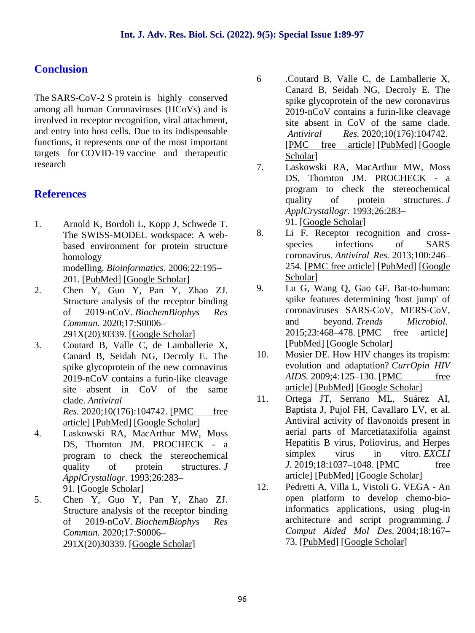## **Conclusion**

The SARS-CoV-2 S protein is highly conserved among all human Coronaviruses (HCoVs) and is involved in receptor recognition, viral attachment, and entry into host cells. Due to its indispensable functions, it represents one of the most important targets for COVID-19 vaccine and therapeutic research

## **References**

- 1. Arnold K, Bordoli L, Kopp J, Schwede T. The SWISS-MODEL workspace: A web based environment for protein structure homology modelling. *Bioinformatics.* 2006;22:195– 201. [PubMed] [Google Scholar]
- 2. Chen Y, Guo Y, Pan Y, Zhao ZJ. Structure analysis of the receptor binding of 2019-nCoV. *BiochemBiophys Res Commun.* 2020;17:S0006– 291X(20)30339. [Google Scholar]
- 3. Coutard B, Valle C, de Lamballerie X, Canard B, Seidah NG, Decroly E. The spike glycoprotein of the new coronavirus 2019-nCoV contains a furin-like cleavage site absent in CoV of the same<br>clade Antiviral 11. clade. *Antiviral Res.* 2020;10(176):104742. [PMC free article] [PubMed] [Google Scholar]
- 4. Laskowski RA, MacArthur MW, Moss DS, Thornton JM. PROCHECK - a program to check the stereochemical quality of protein structures. *J ApplCrystallogr.* 1993;26:283– 91. [Google Scholar]
- 5. Chen Y, Guo Y, Pan Y, Zhao ZJ. Structure analysis of the receptor binding of 2019-nCoV. *BiochemBiophys Res Commun.* 2020;17:S0006– 291X(20)30339. [Google Scholar]
- 6 .Coutard B, Valle C, de Lamballerie X, Canard B, Seidah NG, Decroly E. The spike glycoprotein of the new coronavirus 2019-nCoV contains a furin-like cleavage site absent in CoV of the same clade. *Antiviral Res.* 2020;10(176):104742. [PMC free article] [PubMed] [Google Scholar]
- 7. Laskowski RA, MacArthur MW, Moss DS, Thornton JM. PROCHECK - a program to check the stereochemical quality of protein structures. *J ApplCrystallogr.* 1993;26:283– 91. [Google Scholar]
- 8. Li F. Receptor recognition and cross species infections of SARS coronavirus. *Antiviral Res.* 2013;100:246– 254. [PMC free article] [PubMed] [Google Scholar]
- 9. Lu G, Wang Q, Gao GF. Bat-to-human: spike features determining 'host jump' of coronaviruses SARS-CoV, MERS-CoV, and beyond. *Trends Microbiol.* 2015;23:468–478. [PMC free article] [PubMed] [Google Scholar]
- Mosier DE. How HIV changes its tropism: evolution and adaptation? *CurrOpin HIV AIDS.* 2009;4:125–130. [PMC free article] [PubMed] [Google Scholar]
- 11. Ortega JT, Serrano ML, Suárez AI, Baptista J, Pujol FH, Cavallaro LV, et al. Antiviral activity of flavonoids present in aerial parts of Marcetiataxifolia against Hepatitis B virus, Poliovirus, and Herpes simplex virus in vitro. *EXCLI J.* 2019;18:1037–1048. [PMC free article] [PubMed] [Google Scholar]
- 12. Pedretti A, Villa L, Vistoli G. VEGA An open platform to develop chemo-bioinformatics applications, using plug-in architecture and script programming. *J Comput Aided Mol Des.* 2004;18:167– 73. [PubMed] [Google Scholar]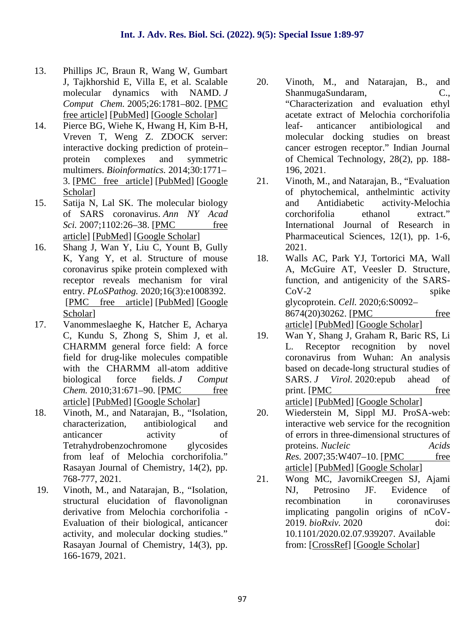- 13. Phillips JC, Braun R, Wang W, Gumbart J, Tajkhorshid E, Villa E, et al. Scalable molecular dynamics with NAMD. *J Comput Chem.* 2005;26:1781–802. [PMC free article] [PubMed] [Google Scholar]
- 14. Pierce BG, Wiehe K, Hwang H, Kim B-H, Vreven T, Weng Z. ZDOCK server: interactive docking prediction of protein– protein complexes and symmetric multimers. *Bioinformatics.* 2014;30:1771– 3. [PMC free article] [PubMed] [Google Scholar]
- 15. Satija N, Lal SK. The molecular biology of SARS coronavirus. *Ann NY Acad Sci.* 2007:1102:26–38. **[PMC** free article] [PubMed] [Google Scholar]
- 16. Shang J, Wan Y, Liu C, Yount B, Gully K, Yang Y, et al. Structure of mouse 18. coronavirus spike protein complexed with receptor reveals mechanism for viral entry. *PLoSPathog.* 2020;16(3):e1008392. [PMC free article] [PubMed] [Google Scholar]
- 17. Vanommeslaeghe K, Hatcher E, Acharya C, Kundu S, Zhong S, Shim J, et al. CHARMM general force field: A force field for drug-like molecules compatible with the CHARMM all-atom additive biological force fields. *J Comput Chem.* 2010;31:671–90. [PMC free article] [PubMed] [Google Scholar]
- 18. Vinoth, M., and Natarajan, B., "Isolation, characterization, antibiological and anticancer activity of Tetrahydrobenzochromone glycosides from leaf of Melochia corchorifolia." Rasayan Journal of Chemistry, 14(2), pp. 768-777, 2021.
- 19. Vinoth, M., and Natarajan, B., "Isolation, structural elucidation of flavonolignan derivative from Melochia corchorifolia - Evaluation of their biological, anticancer activity, and molecular docking studies." Rasayan Journal of Chemistry, 14(3), pp. 166-1679, 2021.
- Vinoth, M., and Natarajan, B., and ShanmugaSundaram, C., "Characterization and evaluation ethyl acetate extract of Melochia corchorifolia leaf- anticancer antibiological and molecular docking studies on breast cancer estrogen receptor." Indian Journal of Chemical Technology, 28(2), pp. 188- 196, 2021.
- 21. Vinoth, M., and Natarajan, B., "Evaluation of phytochemical, anthelmintic activity and Antidiabetic activity-Melochia corchorifolia ethanol extract." International Journal of Research in Pharmaceutical Sciences, 12(1), pp. 1-6, 2021.
- 18. Walls AC, Park YJ, Tortorici MA, Wall A, McGuire AT, Veesler D. Structure, function, and antigenicity of the SARS- CoV-2 spike glycoprotein. *Cell.* 2020;6:S0092– 8674(20)30262. [PMC free article] [PubMed] [Google Scholar]
- 19. Wan Y, Shang J, Graham R, Baric RS, Li L. Receptor recognition by novel coronavirus from Wuhan: An analysis based on decade-long structural studies of SARS. *J Virol.* 2020:epub ahead of print. [PMC free article] [PubMed] [Google Scholar]
- 20. Wiederstein M, Sippl MJ. ProSA-web: interactive web service for the recognition of errors in three-dimensional structures of proteins. *Nucleic Acids Res.* 2007;35:W407-10. [PMC free article] [PubMed] [Google Scholar]
- 21. Wong MC, JavornikCreegen SJ, Ajami NJ, Petrosino JF. Evidence of recombination in coronaviruses implicating pangolin origins of nCoV- 2019. *bioRxiv.* 2020 doi: 10.1101/2020.02.07.939207. Available from: [CrossRef] [Google Scholar]